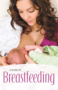**A GUIDE TO**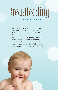# **Breastfeeding**

#### A gift that lasts a lifetime!

- Breastmilk is all your baby needs for the first six months. After six months, begin offering your baby solid foods in addition to breastmilk.
- Breastfed babies are healthy babies. Formula fed babies have more ear infections, diarrhea, and allergies. Formula fed babies are more likely to become overweight, obese, or develop diabetes.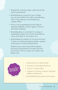- Breastmilk is always clean, safe, and at the right temperature.
- Breastfeeding is good for you! It helps you recover faster from labor and delivery, and it may help you lose pregnancy weight faster.
- Moms who breastfeed are less likely to develop diabetes, certain types of cancer, and heart disease.
- Breastfeeding is convenient; it is easy to breastfeed away from home! No bottles to carry and clean or formula to mix.
- Breastfeeding is better for the environment. It does not need packaging, bottles, nipples, and soap for washing these items.

Pediatricians recommend that babies should be breastfed for at least the first 12 months of life or longer as mother and baby wish.



- [Getting Off to a Great Start](#page-3-0)
- [Finding Comfortable Positions](#page-5-0)
- [Tips for a Good Latch](#page-10-0)
- [Support of Family, Friends, and Dad](#page-12-0)  Makes a Difference
- [Breastfeeding Questions & Answers](#page-14-0)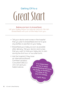### <span id="page-3-0"></span>**Great Start** Getting Off to a

#### **Babies are born to breastfeed.**

Let your baby follow his natural instincts. He can breastfeed with just a little help from you.

- Tell your doctor and nurses in the hospital that you plan to breastfeed and not to give any bottles or pacifiers to your baby.
- Breastfeed your baby as soon as possible after delivery. Tell your doctor and nurses that you want to hold your baby skin-to-skin during the first hour or two after birth.
- Ask the hospital if they have an International Board Certified Lactation Consultant (IBCLC) who can give you helpful advice.

**It is important to me to keep breastfeeding because my baby is healthier, it's easy to do, and it's cheap.**

**—WIC Mom**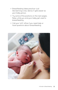- Breastfeeding takes practice—just like learning a new dance. It gets easier as your baby grows.
- Try some of the positions on the next pages. Relax while you and your baby get used to breastfeeding.
- Call your WIC office if you need help or have questions about breastfeeding.

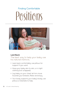### <span id="page-5-0"></span>**Positions** Finding Comfortable



#### **Laid Back**

The best way to help your baby use his natural instincts.

- Lean back comfortably; use pillows for support if you want.
- Have your baby skin-to-skin, or in light clothing (not wrapped).
- Lay baby on your chest; let him move towards your breasts. Relax and enjoy.
- Your body supports your baby's body; use pillows or blankets to help.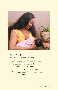

#### **Cross Cradle** Good for smaller babies.

- Support your baby's body and neck.
- Put your baby across your body tummy-to-tummy with you.
- Wrap her legs around your side.
- Baby breastfeeds on the breast opposite your supporting arm.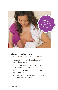

#### **Clutch or Football Hold** Good for women with large breasts.

- Place one or more pillows at your side to support your arm.
- Put your baby on the pillow with his legs tucked under your arm.
- Slide your arm under your baby's back and support his neck with your hand.
- Hold baby with arm on the same side as the breast being offered.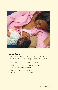

#### **Lying Down**

#### Most comfortable for women who have had a difficult delivery or for night feeds.

- Use pillows for comfort as needed.
- Start with his nose in front of your nipple, just like the other positions.
- Support your baby with your arm, a pillow, or a rolled-up blanket.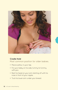

#### **Cradle Hold** Most common position for older babies.

- Place a pillow in your lap.
- Put your baby on his side, tummy-to-tummy with you.
- Rest his head on your arm starting off with his nose in front of your nipple.
- Tuck his lower arm under your breast.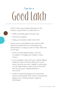## <span id="page-10-0"></span>**Good Latch** Tips for a

Latch is the way a baby attaches to the breast. A good latch is important to:

- Make sure baby gets enough milk
- Avoid sore nipples
- Help your breasts make more milk

Many moms and babies may need a little help and reassurance in the beginning. Remember, it's okay to ask for help. Here are some tips:

- Find a comfortable position with lots of support. Snuggle your baby in close to you.
- Line up baby's nose with your nipple. Baby's head can then tilt back, letting his mouth reach up and over your nipple. A wide open mouth helps baby to get more of the dark skin around your nipple (areola) in his mouth.
- Watch to see that baby's chin and lower lip touch the breast first. Once on the breast, baby's chin will be pushed in against the breast.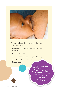

You can tell your baby is latched on well and getting milk if:

- Both of his lips are curled out wide, not tucked in.
- Cheeks are rounded.
- You can hear or see baby swallowing.
- You do not feel pain while breastfeeding.

**My baby would not latch on. The WIC people helped me try different positions, I never gave up. Thanks WIC!**

**—WIC Mom**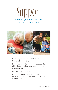### <span id="page-12-0"></span>**Support** of Family, Friends, and Dad Makes a Difference



- Encourage mom with words of support; things will get easier.
- Limit visitors and visiting times, especially at the hospital when mom and baby are learning to breastfeed.
- Hold baby skin-to-skin.
- Get to know normal baby behavior, especially for crying and sleeping. Ask WIC staff for help.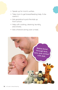- Speak up for mom's wishes.
- Take mom to get breastfeeding help, if she wants it.
- Ask grandma to pick the kids up from school.
- Help with cooking, cleaning, laundry, and chores.
- Ask a friend to bring over a meal.

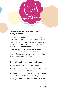<span id="page-14-0"></span>

#### **Will I have milk as soon as my baby is born?**

Yes. Although your breasts may feel soft, you are already making colostrum, your first milk.

This special first milk is thick and yellow. It helps your baby learn to suck and swallow and is all she needs for now.

Even though you may only have small amounts of this first milk, colostrum has protein, vitamins, and lots of antibodies that protect your baby from getting sick.

#### **How often should I feed my baby?**

- Feed your baby when she is hungry.
- Breastfeed your newborn baby 10 or more times in a 24-hour period.
- If your baby is sleeping a lot, you may need to wake her up for some feedings.
- Let your baby decide when she is ready to eat and when to end the feeding.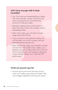#### **Will I have enough milk to feed my baby?**

- Yes. The more you breastfeed your baby, the more milk you make. Using formula, even a small amount, will reduce the amount of milk you make.
- Newborn babies have small stomachs, about the size of their fist, so they need to breastfeed often.
- After a few days, you will start to make larger amounts of milk.
- If you choose to use a pacifier, delay use until at least one month of age to ensure breastfeeding is going well.
- After the first few days, your breasts will feel full and firm. Then after a few weeks, your breasts will start to feel softer and not as full. This is normal; your milk supply is adjusting to your baby's needs. Your milk has NOT gone away.

#### **What are growth spurts?**

• Growth spurts are short periods of time when your baby is growing at a faster rate, has a bigger appetite, and may be fussier.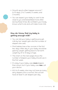- Growth spurts often happen around 7 to 10 days, 2 to 3 weeks, 6 weeks, and 3 months.
- You can expect your baby to want to be close to you and breastfeed more often during these times. Be confident, your body knows what to do and will make more milk.

#### **How do I know that my baby is getting enough milk?**

- You can tell your baby is getting enough milk by her weight gain and the number of diapers she uses.
- Most babies lose a few ounces in the first few days. After day 4, your baby should be gaining weight, getting back to her birth weight by 10 to 14 days of age.
- The chart on the next page shows the number of diapers your baby should use in the first week.
- It's okay if your baby uses **more** diapers than shown, but if your baby uses **less,** call your doctor.
- At 6 to 8 weeks, she may not have as many dirty diapers; this is normal. She will still have at least 5 wet diapers per day.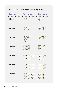

#### How many diapers does your baby use?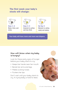#### The first week your baby's stools will change:



Days 1–2 Black, thick, and sticky



Days 3–4 Greenish to yellow and less thick



By Day 5 Mustard or yellow, seedy and watery

Your baby will have more and more wet diapers.

#### **How will I know when my baby is hungry?**

Look for these early signs of hunger before your baby starts to cry:

- Keeps her hands near her mouth
- Bends her arms and legs
- Makes sucking noises
- Puckers her lips

Don't wait until your baby starts to cry. A crying baby is hard to feed.

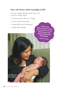#### **How will I know when my baby is full?**

Let your baby decide when he is full. Look for these signs:

- Sucking slows down or stops
- Arms and hands relax
- Baby lets go of the breast
- 

• Baby falls asleep **I knew my baby was full when she would turn her head away and stop eating and fall asleep.** 

**—WIC mom**

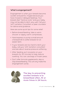#### **What is engorgement?**

Engorgement is when your breasts become swollen and painful, maybe because you have missed or delayed feedings. Your breasts feel "hard as rocks" and your baby may not be able to latch very well. Call your WIC Lactation Consultant or peer counselor for advice and guidance.

Here are some quick tips for some relief:

- Before breastfeeding, take a warm shower or apply warm compresses.
- Hand express or pump a small amount of breastmilk to soften breasts for an easier latch.
- If your breasts are too hard to latch your baby, call your WIC lactation consultant and ask about reverse pressure softening.
- After feeding, put ice packs on your breasts for 20 minutes to help reduce swelling. You can use bags of frozen peas.
- Don't offer formula supplements, skip or stop breastfeeding. This will only make the engorgement worse.



**The key to preventing swollen breasts is to breastfeed often, 10 or more times in 24 hours.**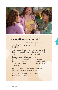

#### **How can I breastfeed in public?**

- Tuck a corner of the receiving blanket under your bra strap and then cover the baby.
- Try a baby sling. When used correctly, it lets your baby be carried and breastfed while you are out shopping or walking.
- Layer a loose-fitting shirt over a tank top. This lets you pull up your top and breastfeed the baby, while using the outer shirt to cover you and the baby. No extra stuff to bring!
- Practice at home with your baby before going out so you are comfortable.
- California law says it is your right to breastfeed in public.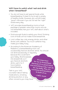#### **Will I have to watch what I eat and drink when I breastfeed?**

- You do not have to eat special foods while breastfeeding. It's best to try to eat a variety of healthy foods. However, you will still make "good" milk even if you do not eat the "right" foods every day.
- WIC provides breastfeeding moms a food package of greater value than moms who do not breastfeed. Ask your WIC staff about what's included.
- Drink enough fluids to satisfy your thirst. Drinking a lot of fluids will not make more breastmilk.
- Limit coffee, tea, cola, energy drinks, and other drinks with caffeine. Too much caffeine may make your baby fussy.
- According to the American Academy of Pediatrics, a breastfeeding mom can occasionally have an alcoholic drink. You should not drink excessively or regularly because this could harm your baby. Alcohol passes into breastmilk; so if you have an alcoholic drink, wait 2 to 3 hours before breastfeeding. **It's important**

Talk to your WIC counselor about taking medications, smoking, drinking alcohol, or any other concerns you may have.

**for me to breastfeed because it's a great bond and something only I can do for my baby. Plus, it's nutritious and beneficial to both of us.**

**—WIC mom**